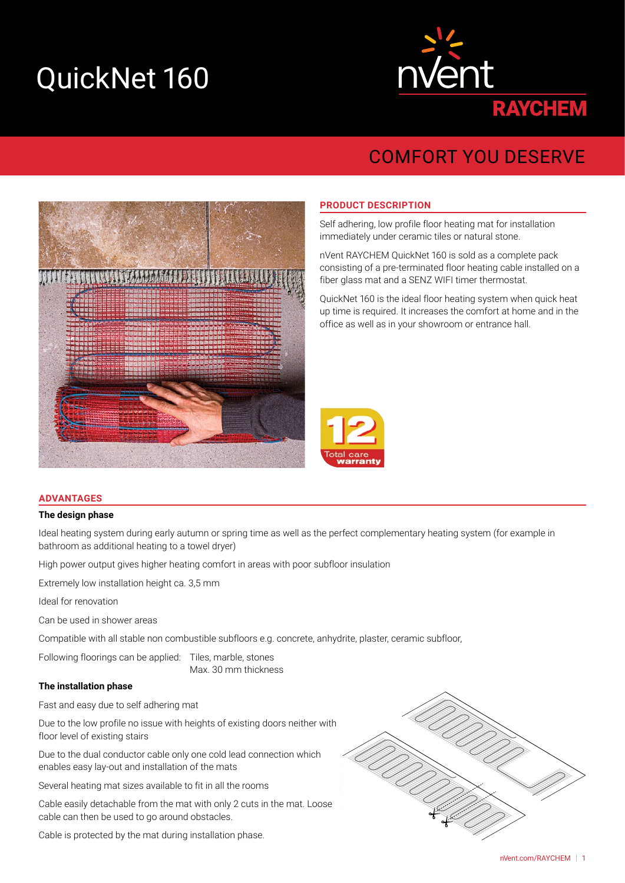# QuickNet 160



# COMFORT YOU DESERVE



#### **PRODUCT DESCRIPTION**

Self adhering, low profile floor heating mat for installation immediately under ceramic tiles or natural stone.

nVent RAYCHEM QuickNet 160 is sold as a complete pack consisting of a pre-terminated floor heating cable installed on a fiber glass mat and a SENZ WIFI timer thermostat.

QuickNet 160 is the ideal floor heating system when quick heat up time is required. It increases the comfort at home and in the office as well as in your showroom or entrance hall.



#### **ADVANTAGES**

#### **The design phase**

Ideal heating system during early autumn or spring time as well as the perfect complementary heating system (for example in bathroom as additional heating to a towel dryer)

High power output gives higher heating comfort in areas with poor subfloor insulation

Extremely low installation height ca. 3,5 mm

Ideal for renovation

Can be used in shower areas

Compatible with all stable non combustible subfloors e.g. concrete, anhydrite, plaster, ceramic subfloor,

Following floorings can be applied: Tiles, marble, stones Max. 30 mm thickness

# **The installation phase**

Fast and easy due to self adhering mat

Due to the low profile no issue with heights of existing doors neither with floor level of existing stairs

Due to the dual conductor cable only one cold lead connection which enables easy lay-out and installation of the mats

Several heating mat sizes available to fit in all the rooms

Cable easily detachable from the mat with only 2 cuts in the mat. Loose cable can then be used to go around obstacles.

Cable is protected by the mat during installation phase.

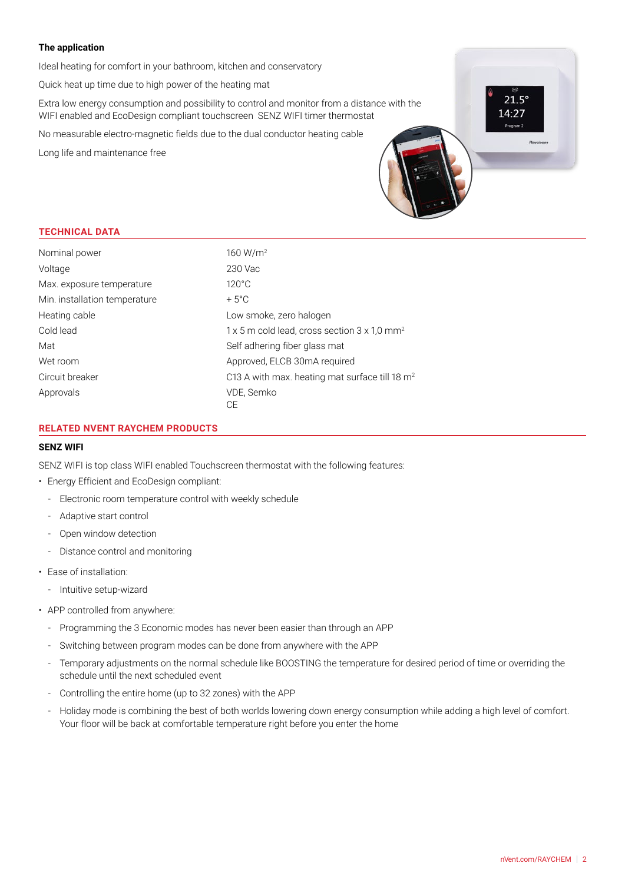# **The application**

Ideal heating for comfort in your bathroom, kitchen and conservatory

Quick heat up time due to high power of the heating mat

Extra low energy consumption and possibility to control and monitor from a distance with the WIFI enabled and EcoDesign compliant touchscreen SENZ WIFI timer thermostat

No measurable electro-magnetic fields due to the dual conductor heating cable

Long life and maintenance free

## **TECHNICAL DATA**

| Nominal power                 | 160 W/m <sup>2</sup>                                                   |  |  |  |
|-------------------------------|------------------------------------------------------------------------|--|--|--|
| Voltage                       | 230 Vac                                                                |  |  |  |
| Max. exposure temperature     | $120^{\circ}$ C                                                        |  |  |  |
| Min. installation temperature | $+5^{\circ}$ C                                                         |  |  |  |
| Heating cable                 | Low smoke, zero halogen                                                |  |  |  |
| Cold lead                     | $1 \times 5$ m cold lead, cross section $3 \times 1.0$ mm <sup>2</sup> |  |  |  |
| Mat                           | Self adhering fiber glass mat                                          |  |  |  |
| Wet room                      | Approved, ELCB 30mA required                                           |  |  |  |
| Circuit breaker               | C13 A with max. heating mat surface till 18 m <sup>2</sup>             |  |  |  |
| Approvals                     | VDE, Semko                                                             |  |  |  |
|                               | СE                                                                     |  |  |  |

# **RELATED NVENT RAYCHEM PRODUCTS**

#### **SENZ WIFI**

SENZ WIFI is top class WIFI enabled Touchscreen thermostat with the following features:

- Energy Efficient and EcoDesign compliant:
	- Electronic room temperature control with weekly schedule
	- Adaptive start control
	- Open window detection
	- Distance control and monitoring
- Ease of installation:
	- Intuitive setup-wizard
- APP controlled from anywhere:
	- Programming the 3 Economic modes has never been easier than through an APP
	- Switching between program modes can be done from anywhere with the APP
	- Temporary adjustments on the normal schedule like BOOSTING the temperature for desired period of time or overriding the schedule until the next scheduled event
	- Controlling the entire home (up to 32 zones) with the APP
	- Holiday mode is combining the best of both worlds lowering down energy consumption while adding a high level of comfort. Your floor will be back at comfortable temperature right before you enter the home

つ1 ち  $14.27$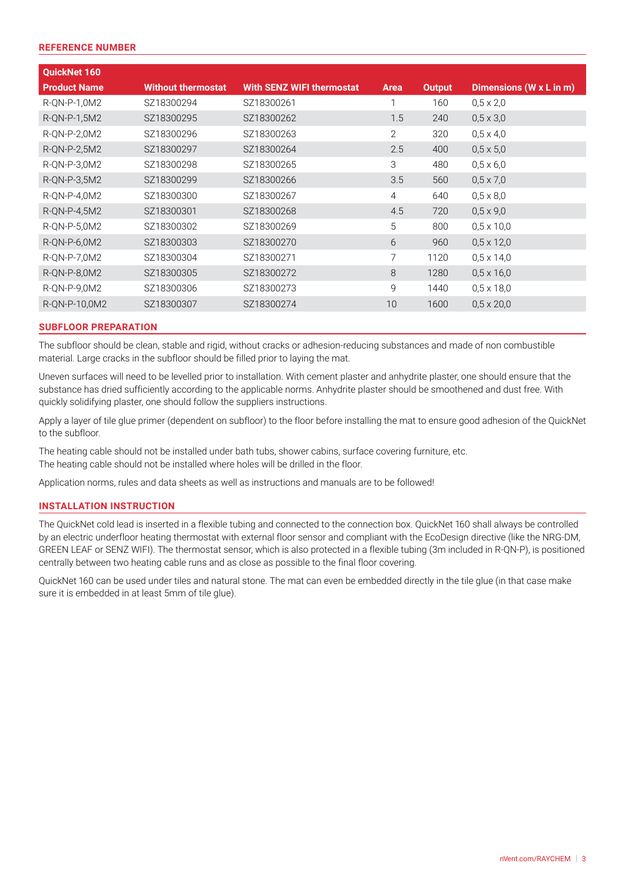#### **REFERENCE NUMBER**

| QuickNet 160        |                           |                                  |              |               |                         |
|---------------------|---------------------------|----------------------------------|--------------|---------------|-------------------------|
| <b>Product Name</b> | <b>Without thermostat</b> | <b>With SENZ WIFI thermostat</b> | <b>Area</b>  | <b>Output</b> | Dimensions (W x L in m) |
| R-QN-P-1,0M2        | SZ18300294                | SZ18300261                       | 1            | 160           | $0.5 \times 2.0$        |
| R-QN-P-1,5M2        | SZ18300295                | SZ18300262                       | 1.5          | 240           | $0,5 \times 3,0$        |
| R-QN-P-2,0M2        | SZ18300296                | SZ18300263                       | $\mathbf{2}$ | 320           | $0,5 \times 4,0$        |
| R-QN-P-2,5M2        | SZ18300297                | SZ18300264                       | 2.5          | 400           | $0,5 \times 5,0$        |
| R-QN-P-3,0M2        | SZ18300298                | SZ18300265                       | 3            | 480           | $0.5 \times 6.0$        |
| R-QN-P-3,5M2        | SZ18300299                | SZ18300266                       | 3.5          | 560           | $0,5 \times 7,0$        |
| R-ON-P-4,0M2        | SZ18300300                | SZ18300267                       | 4            | 640           | $0.5 \times 8.0$        |
| R-QN-P-4,5M2        | SZ18300301                | SZ18300268                       | 4.5          | 720           | $0,5 \times 9,0$        |
| R-QN-P-5,0M2        | SZ18300302                | SZ18300269                       | 5            | 800           | $0,5 \times 10,0$       |
| R-QN-P-6,0M2        | SZ18300303                | SZ18300270                       | 6            | 960           | $0,5 \times 12,0$       |
| R-QN-P-7,0M2        | SZ18300304                | SZ18300271                       | 7            | 1120          | $0,5 \times 14,0$       |
| R-QN-P-8,0M2        | SZ18300305                | SZ18300272                       | 8            | 1280          | $0,5 \times 16,0$       |
| R-QN-P-9,0M2        | SZ18300306                | SZ18300273                       | 9            | 1440          | $0,5 \times 18,0$       |
| R-QN-P-10,0M2       | SZ18300307                | SZ18300274                       | 10           | 1600          | $0,5 \times 20,0$       |

#### **SUBFLOOR PREPARATION**

The subfloor should be clean, stable and rigid, without cracks or adhesion-reducing substances and made of non combustible material. Large cracks in the subfloor should be filled prior to laying the mat.

Uneven surfaces will need to be levelled prior to installation. With cement plaster and anhydrite plaster, one should ensure that the substance has dried sufficiently according to the applicable norms. Anhydrite plaster should be smoothened and dust free. With quickly solidifying plaster, one should follow the suppliers instructions.

Apply a layer of tile glue primer (dependent on subfloor) to the floor before installing the mat to ensure good adhesion of the QuickNet to the subfloor.

The heating cable should not be installed under bath tubs, shower cabins, surface covering furniture, etc. The heating cable should not be installed where holes will be drilled in the floor.

Application norms, rules and data sheets as well as instructions and manuals are to be followed!

#### **INSTALLATION INSTRUCTION**

The QuickNet cold lead is inserted in a flexible tubing and connected to the connection box. QuickNet 160 shall always be controlled by an electric underfloor heating thermostat with external floor sensor and compliant with the EcoDesign directive (like the NRG-DM, GREEN LEAF or SENZ WIFI). The thermostat sensor, which is also protected in a flexible tubing (3m included in R-QN-P), is positioned centrally between two heating cable runs and as close as possible to the final floor covering.

QuickNet 160 can be used under tiles and natural stone. The mat can even be embedded directly in the tile glue (in that case make sure it is embedded in at least 5mm of tile glue).